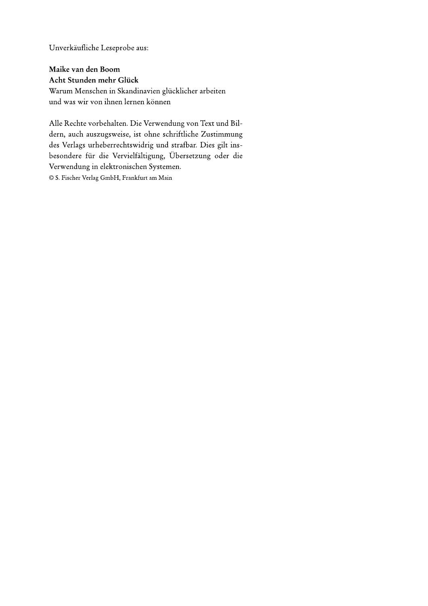Unverkäufliche Leseprobe aus:

## Maike van den Boom

Acht Stunden mehr Glück Warum Menschen in Skandinavien glücklicher arbeiten und was wir von ihnen lernen können

Alle Rechte vorbehalten. Die Verwendung von Text und Bildern, auch auszugsweise, ist ohne schriftliche Zustimmung des Verlags urheberrechtswidrig und strafbar. Dies gilt insbesondere für die Vervielfältigung, Übersetzung oder die Verwendung in elektronischen Systemen. © S. Fischer Verlag GmbH, Frankfurt am Main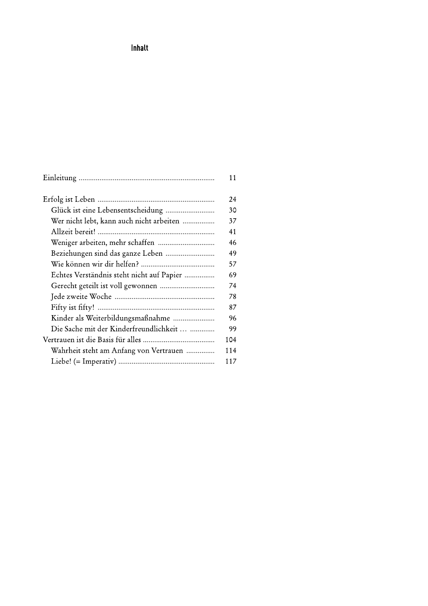## Inhalt

|                                           | 11  |
|-------------------------------------------|-----|
|                                           | 24  |
| Glück ist eine Lebensentscheidung         | 30  |
| Wer nicht lebt, kann auch nicht arbeiten  | 37  |
|                                           | 41  |
|                                           | 46  |
| Beziehungen sind das ganze Leben          | 49  |
|                                           | 57  |
| Echtes Verständnis steht nicht auf Papier | 69  |
|                                           | 74  |
|                                           | 78  |
|                                           | 87  |
| Kinder als Weiterbildungsmaßnahme         | 96  |
| Die Sache mit der Kinderfreundlichkeit    | 99  |
|                                           | 104 |
| Wahrheit steht am Anfang von Vertrauen    | 114 |
|                                           | 117 |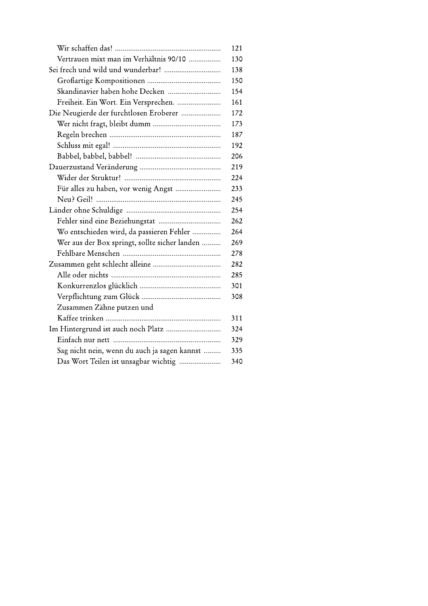|                                               | 121 |
|-----------------------------------------------|-----|
| Vertrauen mixt man im Verhältnis 90/10        | 130 |
| Sei frech und wild und wunderbar!             | 138 |
|                                               | 150 |
| Skandinavier haben hohe Decken                | 154 |
| Freiheit. Ein Wort. Ein Versprechen.          | 161 |
| Die Neugierde der furchtlosen Eroberer        | 172 |
|                                               | 173 |
|                                               | 187 |
|                                               | 192 |
|                                               | 206 |
|                                               | 219 |
|                                               | 224 |
| Für alles zu haben, vor wenig Angst           | 233 |
|                                               | 245 |
|                                               | 254 |
|                                               | 262 |
| Wo entschieden wird, da passieren Fehler      | 264 |
| Wer aus der Box springt, sollte sicher landen | 269 |
|                                               | 278 |
|                                               | 282 |
|                                               | 285 |
|                                               | 301 |
|                                               | 308 |
| Zusammen Zähne putzen und                     |     |
|                                               | 311 |
|                                               | 324 |
|                                               | 329 |
| Sag nicht nein, wenn du auch ja sagen kannst  | 335 |
| Das Wort Teilen ist unsagbar wichtig          | 340 |
|                                               |     |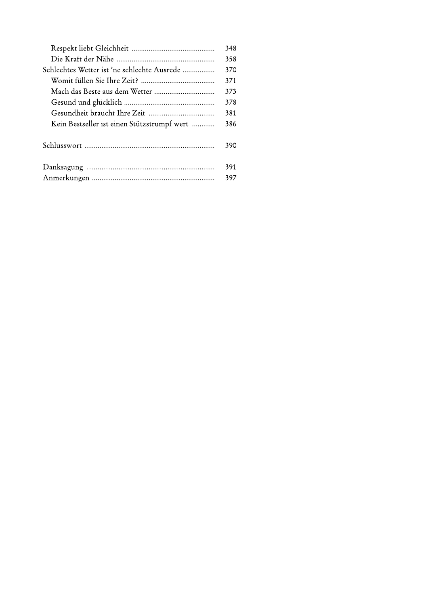|                                             | 348 |
|---------------------------------------------|-----|
|                                             | 358 |
| Schlechtes Wetter ist 'ne schlechte Ausrede | 370 |
|                                             | 371 |
|                                             | 373 |
|                                             | 378 |
|                                             | 381 |
| Kein Bestseller ist einen Stützstrumpf wert | 386 |
|                                             | 390 |
|                                             | 391 |
|                                             | 397 |
|                                             |     |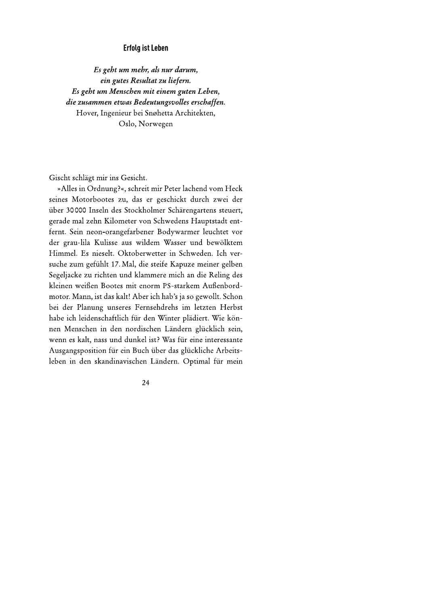## Erfolg ist Leben

Es geht um mehr, als nur darum, Erfolg ist Leben<br>
Es gebt um mehr, als nur darum,<br>
ein gutes Resultat zu liefern.<br>
Es gebt um Menschen mit einem guten Leben,<br>
die zusammen etwas Bedeutungsvolles erschaffen.<br>
Hover, Ingenieur bei Snøhetta Architekten,<br>
Os

Gischt schlägt mir ins Gesicht.

»Alles in Ordnung?«, schreit mir Peter lachend vom Heck seines Motorbootes zu, das er geschickt durch zwei der über 30000 Inseln des Stockholmer Schärengartens steuert, gerade mal zehn Kilometer von Schwedens Hauptstadt entfernt. Sein neon-orangefarbener Bodywarmer leuchtet vor der grau-lila Kulisse aus wildem Wasser und bewölktem Himmel. Es nieselt. Oktoberwetter in Schweden. Ich versuche zum gefühlt 17. Mal, die steife Kapuze meiner gelben Segeljacke zu richten und klammere mich an die Reling des kleinen weißen Bootes mit enorm PS-starkem Außenbordmotor. Mann, ist das kalt! Aber ich hab's ja so gewollt. Schon bei der Planung unseres Fernsehdrehs im letzten Herbst habe ich leidenschaftlich für den Winter plädiert. Wie können Menschen in den nordischen Ländern glücklich sein, wenn es kalt, nass und dunkel ist? Was für eine interessante Ausgangsposition für ein Buch über das glückliche Arbeitsleben in den skandinavischen Ländern. Optimal für mein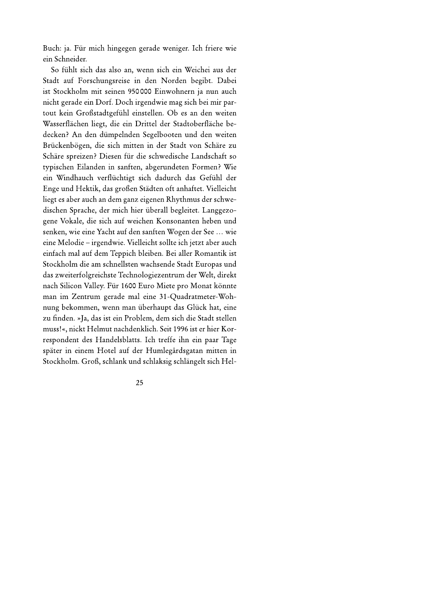Buch: ja. Für mich hingegen gerade weniger. Ich friere wie ein Schneider.

So fühlt sich das also an, wenn sich ein Weichei aus der Stadt auf Forschungsreise in den Norden begibt. Dabei ist Stockholm mit seinen 950000 Einwohnern ja nun auch nicht gerade ein Dorf. Doch irgendwie mag sich bei mir partout kein Großstadtgefühl einstellen. Ob es an den weiten Wasserflächen liegt, die ein Drittel der Stadtoberfläche bedecken? An den dümpelnden Segelbooten und den weiten Brückenbögen, die sich mitten in der Stadt von Schäre zu Schäre spreizen? Diesen für die schwedische Landschaft so typischen Eilanden in sanften, abgerundeten Formen? Wie ein Windhauch verflüchtigt sich dadurch das Gefühl der Enge und Hektik, das großen Städten oft anhaftet. Vielleicht liegt es aber auch an dem ganz eigenen Rhythmus der schwedischen Sprache, der mich hier überall begleitet. Langgezogene Vokale, die sich auf weichen Konsonanten heben und senken, wie eine Yacht auf den sanften Wogen der See ... wie eine Melodie – irgendwie. Vielleicht sollte ich jetzt aber auch einfach mal auf dem Teppich bleiben. Bei aller Romantik ist Stockholm die am schnellsten wachsende Stadt Europas und das zweiterfolgreichste Technologiezentrum der Welt, direkt nach Silicon Valley. Für 1600 Euro Miete pro Monat könnte man im Zentrum gerade mal eine 31-Quadratmeter-Wohnung bekommen, wenn man überhaupt das Glück hat, eine zu finden. »Ja, das ist ein Problem, dem sich die Stadt stellen muss!«, nickt Helmut nachdenklich. Seit 1996 ist er hier Korrespondent des Handelsblatts. Ich treffe ihn ein paar Tage später in einem Hotel auf der Humlegårdsgatan mitten in Stockholm. Groß, schlank und schlaksig schlängelt sich Hel-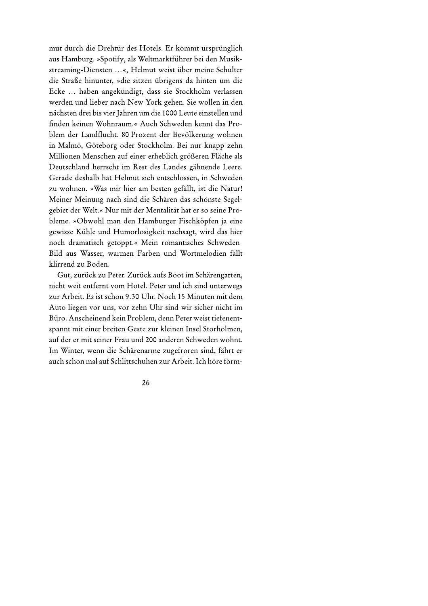mut durch die Drehtür des Hotels. Er kommt ursprünglich aus Hamburg. »Spotify, als Weltmarktführer bei den Musikstreaming-Diensten ...«, Helmut weist über meine Schulter die Straße hinunter, »die sitzen übrigens da hinten um die Ecke ... haben angekündigt, dass sie Stockholm verlassen werden und lieber nach New York gehen. Sie wollen in den nächsten drei bis vier Jahren um die 1000 Leute einstellen und finden keinen Wohnraum.« Auch Schweden kennt das Problem der Landflucht. 80 Prozent der Bevölkerung wohnen in Malmö, Göteborg oder Stockholm. Bei nur knapp zehn Millionen Menschen auf einer erheblich größeren Fläche als Deutschland herrscht im Rest des Landes gähnende Leere. Gerade deshalb hat Helmut sich entschlossen, in Schweden zu wohnen. »Was mir hier am besten gefällt, ist die Natur! Meiner Meinung nach sind die Schären das schönste Segelgebiet der Welt.« Nur mit der Mentalität hat er so seine Probleme. »Obwohl man den Hamburger Fischköpfen ja eine gewisse Kühle und Humorlosigkeit nachsagt, wird das hier noch dramatisch getoppt.« Mein romantisches Schweden-Bild aus Wasser, warmen Farben und Wortmelodien fällt klirrend zu Boden.

Gut, zurück zu Peter. Zurück aufs Boot im Schärengarten, nicht weit entfernt vom Hotel. Peter und ich sind unterwegs zur Arbeit. Es ist schon 9.30 Uhr. Noch 15 Minuten mit dem Auto liegen vor uns, vor zehn Uhr sind wir sicher nicht im Büro. Anscheinend kein Problem, denn Peter weist tiefenentspannt mit einer breiten Geste zur kleinen Insel Storholmen, auf der er mit seiner Frau und 200 anderen Schweden wohnt. Im Winter, wenn die Schärenarme zugefroren sind, fährt er auch schon mal auf Schlittschuhen zur Arbeit. Ich höre förm-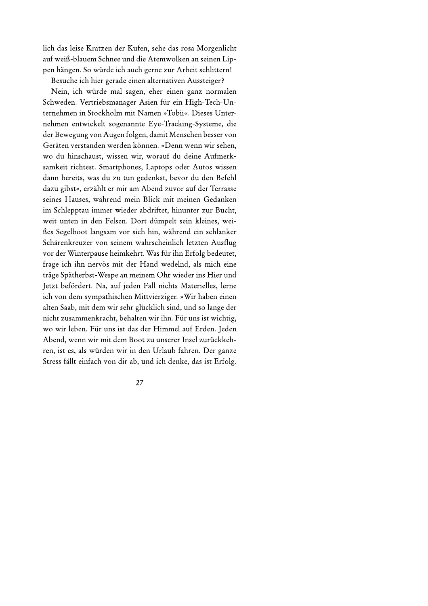lich das leise Kratzen der Kufen, sehe das rosa Morgenlicht auf weiß-blauem Schnee und die Atemwolken an seinen Lippen hängen. So würde ich auch gerne zur Arbeit schlittern!

Besuche ich hier gerade einen alternativen Aussteiger?

Nein, ich würde mal sagen, eher einen ganz normalen Schweden. Vertriebsmanager Asien für ein High-Tech-Unternehmen in Stockholm mit Namen »Tobii«. Dieses Unternehmen entwickelt sogenannte Eye-Tracking-Systeme, die der Bewegung von Augen folgen, damit Menschen besser von Geräten verstanden werden können. »Denn wenn wir sehen, wo du hinschaust, wissen wir, worauf du deine Aufmerksamkeit richtest. Smartphones, Laptops oder Autos wissen dann bereits, was du zu tun gedenkst, bevor du den Befehl dazu gibst«, erzählt er mir am Abend zuvor auf der Terrasse seines Hauses, während mein Blick mit meinen Gedanken im Schlepptau immer wieder abdriftet, hinunter zur Bucht, weit unten in den Felsen. Dort dümpelt sein kleines, weißes Segelboot langsam vor sich hin, während ein schlanker Schärenkreuzer von seinem wahrscheinlich letzten Ausflug vor der Winterpause heimkehrt. Was für ihn Erfolg bedeutet, frage ich ihn nervös mit der Hand wedelnd, als mich eine träge Spätherbst-Wespe an meinem Ohr wieder ins Hier und Jetzt befördert. Na, auf jeden Fall nichts Materielles, lerne ich von dem sympathischen Mittvierziger. »Wir haben einen alten Saab, mit dem wir sehr glücklich sind, und so lange der nicht zusammenkracht, behalten wir ihn. Für uns ist wichtig, wo wir leben. Für uns ist das der Himmel auf Erden. Jeden Abend, wenn wir mit dem Boot zu unserer Insel zurückkehren, ist es, als würden wir in den Urlaub fahren. Der ganze Stress fällt einfach von dir ab, und ich denke, das ist Erfolg.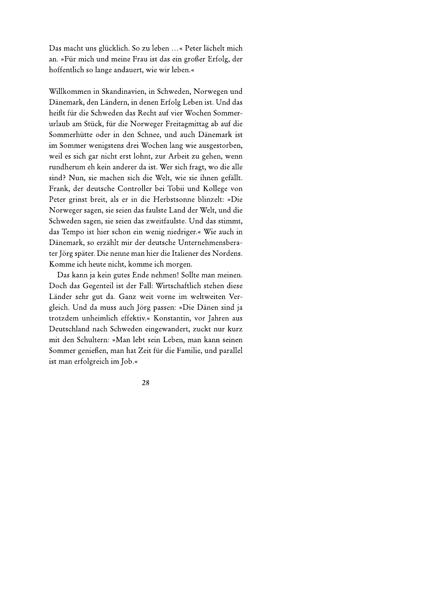Das macht uns glücklich. So zu leben ...« Peter lächelt mich an. »Für mich und meine Frau ist das ein großer Erfolg, der hoffentlich so lange andauert, wie wir leben.«

Willkommen in Skandinavien, in Schweden, Norwegen und Dänemark, den Ländern, in denen Erfolg Leben ist. Und das heißt für die Schweden das Recht auf vier Wochen Sommerurlaub am Stück, für die Norweger Freitagmittag ab auf die Sommerhütte oder in den Schnee, und auch Dänemark ist im Sommer wenigstens drei Wochen lang wie ausgestorben, weil es sich gar nicht erst lohnt, zur Arbeit zu gehen, wenn rundherum eh kein anderer da ist. Wer sich fragt, wo die alle sind? Nun, sie machen sich die Welt, wie sie ihnen gefällt. Frank, der deutsche Controller bei Tobii und Kollege von Peter grinst breit, als er in die Herbstsonne blinzelt: »Die Norweger sagen, sie seien das faulste Land der Welt, und die Schweden sagen, sie seien das zweitfaulste. Und das stimmt, das Tempo ist hier schon ein wenig niedriger.« Wie auch in Dänemark, so erzählt mir der deutsche Unternehmensberater Jörg später. Die nenne man hier die Italiener des Nordens. Komme ich heute nicht, komme ich morgen.

Das kann ja kein gutes Ende nehmen! Sollte man meinen. Doch das Gegenteil ist der Fall: Wirtschaftlich stehen diese Länder sehr gut da. Ganz weit vorne im weltweiten Vergleich. Und da muss auch Jörg passen: »Die Dänen sind ja trotzdem unheimlich effektiv.« Konstantin, vor Jahren aus Deutschland nach Schweden eingewandert, zuckt nur kurz mit den Schultern: »Man lebt sein Leben, man kann seinen Sommer genießen, man hat Zeit für die Familie, und parallel ist man erfolgreich im Job.«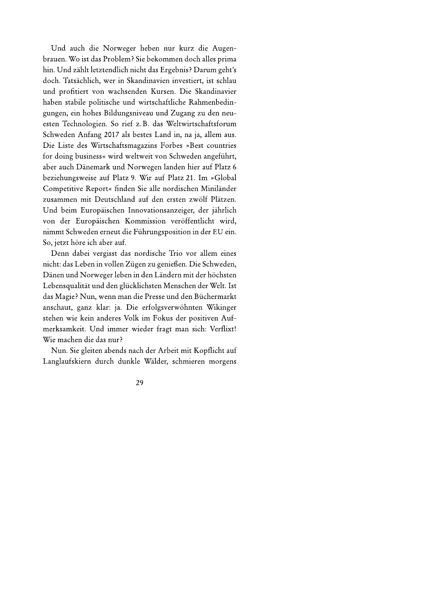Und auch die Norweger heben nur kurz die Augenbrauen. Wo ist das Problem? Sie bekommen doch alles prima hin. Und zählt letztendlich nicht das Ergebnis? Darum geht's doch. Tatsächlich, wer in Skandinavien investiert, ist schlau und profitiert von wachsenden Kursen. Die Skandinavier haben stabile politische und wirtschaftliche Rahmenbedingungen, ein hohes Bildungsniveau und Zugang zu den neuesten Technologien. So rief z.B. das Weltwirtschaftsforum Schweden Anfang 2017 als bestes Land in, na ja, allem aus. Die Liste des Wirtschaftsmagazins Forbes »Best countries for doing business« wird weltweit von Schweden angeführt, aber auch Dänemark und Norwegen landen hier auf Platz 6 beziehungsweise auf Platz 9. Wir auf Platz 21. Im »Global Competitive Report« finden Sie alle nordischen Miniländer zusammen mit Deutschland auf den ersten zwölf Plätzen. Und beim Europäischen Innovationsanzeiger, der jährlich von der Europäischen Kommission veröffentlicht wird, nimmt Schweden erneut die Führungsposition in der EU ein. So, jetzt höre ich aber auf.

Denn dabei vergisst das nordische Trio vor allem eines nicht: das Leben in vollen Zügen zu genießen. Die Schweden, Dänen und Norweger leben in den Ländern mit der höchsten Lebensqualität und den glücklichsten Menschen der Welt. Ist das Magie? Nun, wenn man die Presse und den Büchermarkt anschaut, ganz klar: ja. Die erfolgsverwöhnten Wikinger stehen wie kein anderes Volk im Fokus der positiven Aufmerksamkeit. Und immer wieder fragt man sich: Verflixt! Wie machen die das nur?

Nun. Sie gleiten abends nach der Arbeit mit Kopflicht auf Langlaufskiern durch dunkle Wälder, schmieren morgens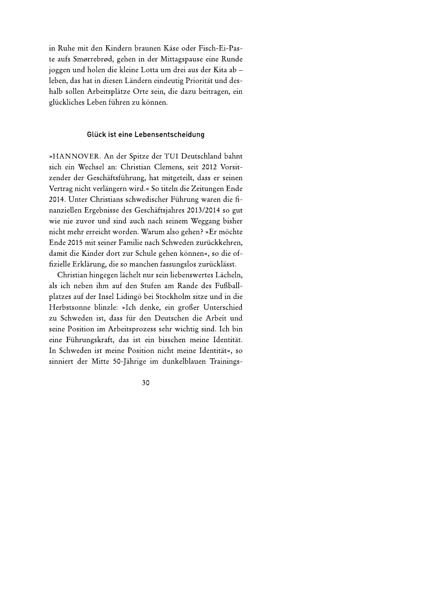in Ruhe mit den Kindern braunen Käse oder Fisch-Ei-Paste aufs Smørrebrød, gehen in der Mittagspause eine Runde joggen und holen die kleine Lotta um drei aus der Kita ab leben, das hat in diesen Ländern eindeutig Priorität und deshalb sollen Arbeitsplätze Orte sein, die dazu beitragen, ein glückliches Leben führen zu können.

## Glück ist eine Lebensentscheidung

»HANNOVER. An der Spitze der TUI Deutschland bahnt sich ein Wechsel an: Christian Clemens, seit 2012 Vorsitzender der Geschäftsführung, hat mitgeteilt, dass er seinen Vertrag nicht verlängern wird.« So titeln die Zeitungen Ende 2014. Unter Christians schwedischer Führung waren die finanziellen Ergebnisse des Geschäftsjahres 2013/2014 so gut wie nie zuvor und sind auch nach seinem Weggang bisher nicht mehr erreicht worden. Warum also gehen? »Er möchte Ende 2015 mit seiner Familie nach Schweden zurückkehren, damit die Kinder dort zur Schule gehen können«, so die offizielle Erklärung, die so manchen fassungslos zurücklässt.

Christian hingegen lächelt nur sein liebenswertes Lächeln, als ich neben ihm auf den Stufen am Rande des Fußballplatzes auf der Insel Lidingö bei Stockholm sitze und in die Herbstsonne blinzle: »Ich denke, ein großer Unterschied zu Schweden ist, dass für den Deutschen die Arbeit und seine Position im Arbeitsprozess sehr wichtig sind. Ich bin eine Führungskraft, das ist ein bisschen meine Identität. In Schweden ist meine Position nicht meine Identität«, so sinniert der Mitte 50-Jährige im dunkelblauen Trainings-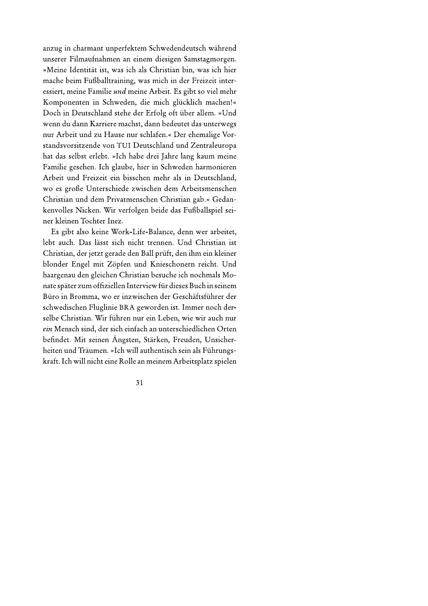anzug in charmant unperfektem Schwedendeutsch während unserer Filmaufnahmen an einem diesigen Samstagmorgen. »Meine Identität ist, was ich als Christian bin, was ich hier mache beim Fußballtraining, was mich in der Freizeit interessiert, meine Familie und meine Arbeit. Es gibt so viel mehr Komponenten in Schweden, die mich glücklich machen!« Doch in Deutschland stehe der Erfolg oft über allem. »Und wenn du dann Karriere machst, dann bedeutet das unterwegs nur Arbeit und zu Hause nur schlafen.« Der ehemalige Vorstandsvorsitzende von TUI Deutschland und Zentraleuropa hat das selbst erlebt. »Ich habe drei Jahre lang kaum meine Familie gesehen. Ich glaube, hier in Schweden harmonieren Arbeit und Freizeit ein bisschen mehr als in Deutschland, wo es große Unterschiede zwischen dem Arbeitsmenschen Christian und dem Privatmenschen Christian gab.« Gedankenvolles Nicken. Wir verfolgen beide das Fußballspiel seiner kleinen Tochter Inez.

Es gibt also keine Work-Life-Balance, denn wer arbeitet, lebt auch. Das lässt sich nicht trennen. Und Christian ist Christian, der jetzt gerade den Ball prüft, den ihm ein kleiner blonder Engel mit Zöpfen und Knieschonern reicht. Und haargenau den gleichen Christian besuche ich nochmals Monate später zum offiziellen Interview für dieses Buch in seinem Büro in Bromma, wo er inzwischen der Geschäftsführer der schwedischen Fluglinie BRA geworden ist. Immer noch derselbe Christian. Wir führen nur ein Leben, wie wir auch nur ein Mensch sind, der sich einfach an unterschiedlichen Orten befindet. Mit seinen Ängsten, Stärken, Freuden, Unsicherheiten und Träumen. »Ich will authentisch sein als Führungskraft. Ich will nicht eine Rolle an meinem Arbeitsplatz spielen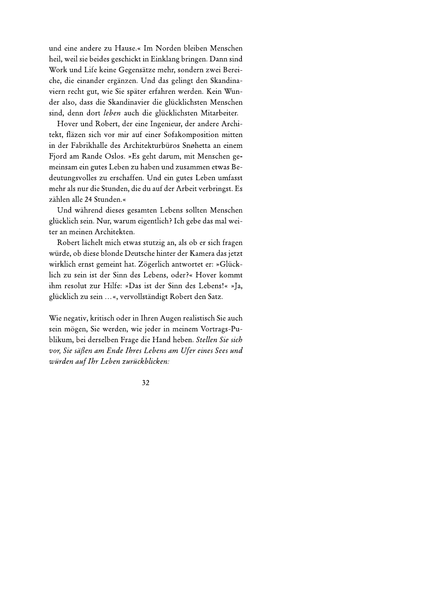und eine andere zu Hause.« Im Norden bleiben Menschen heil, weil sie beides geschickt in Einklang bringen. Dann sind Work und Life keine Gegensätze mehr, sondern zwei Bereiche, die einander ergänzen. Und das gelingt den Skandinaviern recht gut, wie Sie später erfahren werden. Kein Wunder also, dass die Skandinavier die glücklichsten Menschen sind, denn dort leben auch die glücklichsten Mitarbeiter.

Hover und Robert, der eine Ingenieur, der andere Architekt, fläzen sich vor mir auf einer Sofakomposition mitten in der Fabrikhalle des Architekturbüros Snøhetta an einem Fjord am Rande Oslos. »Es geht darum, mit Menschen gemeinsam ein gutes Leben zu haben und zusammen etwas Bedeutungsvolles zu erschaffen. Und ein gutes Leben umfasst mehr als nur die Stunden, die du auf der Arbeit verbringst. Es zählen alle 24 Stunden.«

Und während dieses gesamten Lebens sollten Menschen glücklich sein. Nur, warum eigentlich? Ich gebe das mal weiter an meinen Architekten.

Robert lächelt mich etwas stutzig an, als ob er sich fragen würde, ob diese blonde Deutsche hinter der Kamera das jetzt wirklich ernst gemeint hat. Zögerlich antwortet er: »Glücklich zu sein ist der Sinn des Lebens, oder?« Hover kommt ihm resolut zur Hilfe: »Das ist der Sinn des Lebens!« »Ja, glücklich zu sein ...«, vervollständigt Robert den Satz.

Wie negativ, kritisch oder in Ihren Augen realistisch Sie auch sein mögen, Sie werden, wie jeder in meinem Vortrags-Publikum, bei derselben Frage die Hand heben. Stellen Sie sich vor, Sie säßen am Ende Ihres Lebens am Ufer eines Sees und würden auf Ihr Leben zurückblicken: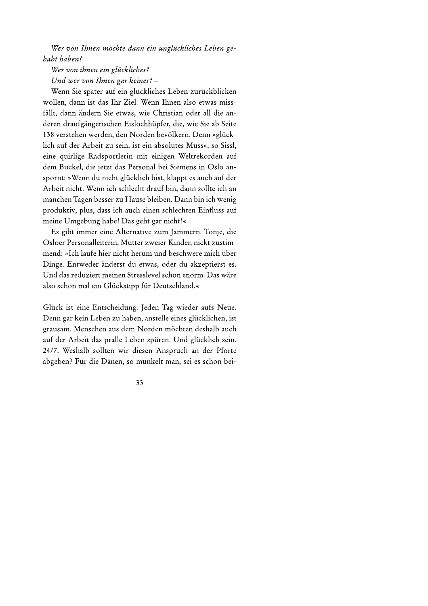Wer von Ihnen möchte dann ein unglückliches Leben gehabt haben?

Wer von ihnen ein glückliches? Und wer von Ihnen gar keines? -

Wenn Sie später auf ein glückliches Leben zurückblicken wollen, dann ist das Ihr Ziel. Wenn Ihnen also etwas missfällt, dann ändern Sie etwas, wie Christian oder all die anderen draufgängerischen Eislochhüpfer, die, wie Sie ab Seite 138 verstehen werden, den Norden bevölkern. Denn »glücklich auf der Arbeit zu sein, ist ein absolutes Muss«, so Sissl, eine quirlige Radsportlerin mit einigen Weltrekorden auf dem Buckel, die jetzt das Personal bei Siemens in Oslo anspornt: »Wenn du nicht glücklich bist, klappt es auch auf der Arbeit nicht. Wenn ich schlecht drauf bin, dann sollte ich an manchen Tagen besser zu Hause bleiben. Dann bin ich wenig produktiv, plus, dass ich auch einen schlechten Einfluss auf meine Umgebung habe! Das geht gar nicht!«

Es gibt immer eine Alternative zum Jammern. Tonje, die Osloer Personalleiterin, Mutter zweier Kinder, nickt zustimmend: »Ich laufe hier nicht herum und beschwere mich über Dinge. Entweder änderst du etwas, oder du akzeptierst es. Und das reduziert meinen Stresslevel schon enorm. Das wäre also schon mal ein Glückstipp für Deutschland.«

Glück ist eine Entscheidung. Jeden Tag wieder aufs Neue. Denn gar kein Leben zu haben, anstelle eines glücklichen, ist grausam. Menschen aus dem Norden möchten deshalb auch auf der Arbeit das pralle Leben spüren. Und glücklich sein. 24/7. Weshalb sollten wir diesen Anspruch an der Pforte abgeben? Für die Dänen, so munkelt man, sei es schon bei-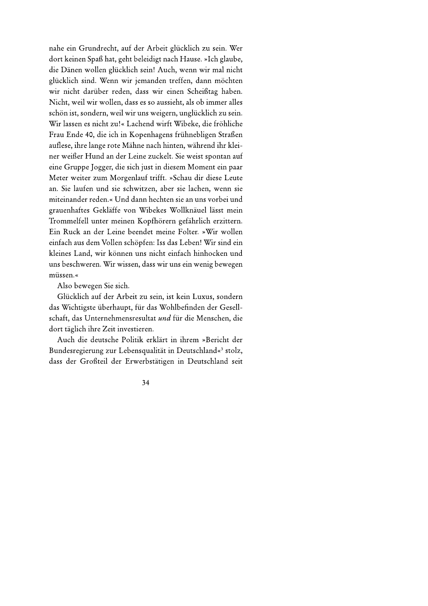nahe ein Grundrecht, auf der Arbeit glücklich zu sein. Wer dort keinen Spaß hat, geht beleidigt nach Hause. »Ich glaube, die Dänen wollen glücklich sein! Auch, wenn wir mal nicht glücklich sind. Wenn wir jemanden treffen, dann möchten wir nicht darüber reden, dass wir einen Scheißtag haben. Nicht, weil wir wollen, dass es so aussieht, als ob immer alles schön ist, sondern, weil wir uns weigern, unglücklich zu sein. Wir lassen es nicht zu!« Lachend wirft Wibeke, die fröhliche Frau Ende 40, die ich in Kopenhagens frühnebligen Straßen auflese, ihre lange rote Mähne nach hinten, während ihr kleiner weißer Hund an der Leine zuckelt. Sie weist spontan auf eine Gruppe Jogger, die sich just in diesem Moment ein paar Meter weiter zum Morgenlauf trifft. »Schau dir diese Leute an. Sie laufen und sie schwitzen, aber sie lachen, wenn sie miteinander reden.« Und dann hechten sie an uns vorbei und grauenhaftes Gekläffe von Wibekes Wollknäuel lässt mein Trommelfell unter meinen Kopfhörern gefährlich erzittern. Ein Ruck an der Leine beendet meine Folter. »Wir wollen einfach aus dem Vollen schöpfen: Iss das Leben! Wir sind ein kleines Land, wir können uns nicht einfach hinhocken und uns beschweren. Wir wissen, dass wir uns ein wenig bewegen müssen.«

Also bewegen Sie sich.

Glücklich auf der Arbeit zu sein, ist kein Luxus, sondern das Wichtigste überhaupt, für das Wohlbefinden der Gesellschaft, das Unternehmensresultat und für die Menschen, die dort täglich ihre Zeit investieren.

Auch die deutsche Politik erklärt in ihrem »Bericht der Bundesregierung zur Lebensqualität in Deutschland«<sup>3</sup> stolz, dass der Großteil der Erwerbstätigen in Deutschland seit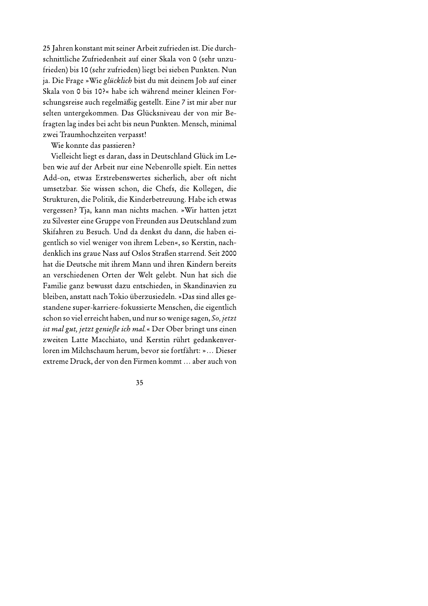25 Jahren konstant mit seiner Arbeit zufrieden ist. Die durchschnittliche Zufriedenheit auf einer Skala von 0 (sehr unzufrieden) bis 10 (sehr zufrieden) liegt bei sieben Punkten. Nun ja. Die Frage »Wie glücklich bist du mit deinem Job auf einer Skala von 0 bis 10?« habe ich während meiner kleinen Forschungsreise auch regelmäßig gestellt. Eine 7 ist mir aber nur selten untergekommen. Das Glücksniveau der von mir Befragten lag indes bei acht bis neun Punkten. Mensch, minimal zwei Traumhochzeiten verpasst!

Wie konnte das passieren?

Vielleicht liegt es daran, dass in Deutschland Glück im Leben wie auf der Arbeit nur eine Nebenrolle spielt. Ein nettes Add-on, etwas Erstrebenswertes sicherlich, aber oft nicht umsetzbar. Sie wissen schon, die Chefs, die Kollegen, die Strukturen, die Politik, die Kinderbetreuung. Habe ich etwas vergessen? Tja, kann man nichts machen. »Wir hatten jetzt zu Silvester eine Gruppe von Freunden aus Deutschland zum Skifahren zu Besuch. Und da denkst du dann, die haben eigentlich so viel weniger von ihrem Leben«, so Kerstin, nachdenklich ins graue Nass auf Oslos Straßen starrend. Seit 2000 hat die Deutsche mit ihrem Mann und ihren Kindern bereits an verschiedenen Orten der Welt gelebt. Nun hat sich die Familie ganz bewusst dazu entschieden, in Skandinavien zu bleiben, anstatt nach Tokio überzusiedeln. »Das sind alles gestandene super-karriere-fokussierte Menschen, die eigentlich schon so viel erreicht haben, und nur so wenige sagen, So, jetzt ist mal gut, jetzt genieße ich mal.« Der Ober bringt uns einen zweiten Latte Macchiato, und Kerstin rührt gedankenverloren im Milchschaum herum, bevor sie fortfährt: »... Dieser extreme Druck, der von den Firmen kommt ... aber auch von